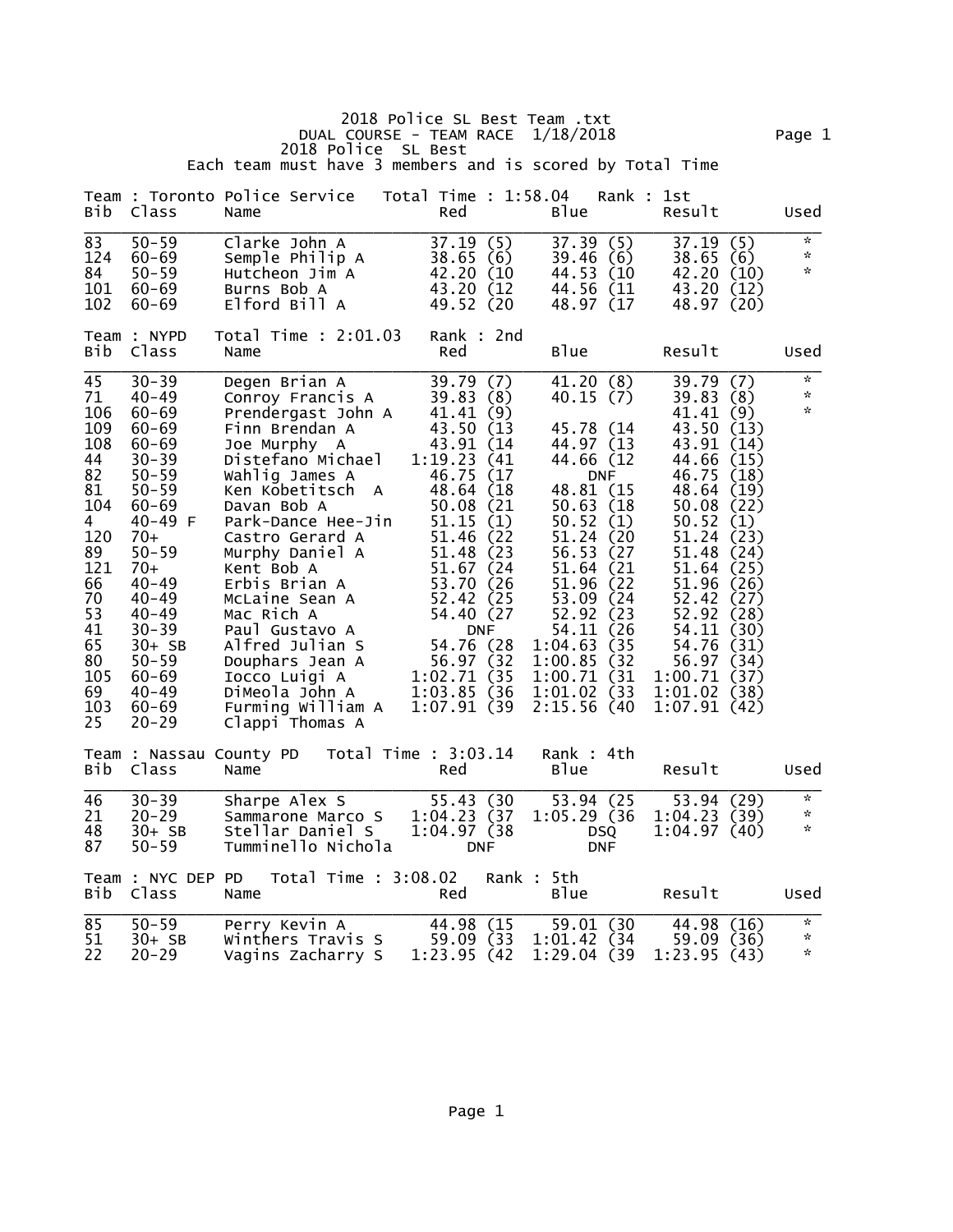|                                                                                                                                               |                                                                                                                                                                                                                                                                                                 | 2018 Police SL Best<br>Each team must have 3 members and is scored by Total Time                                                                                                                                                                                                                                                                                                                                                  | 2018 Police SL Best Team .txt<br>DUAL COURSE - TEAM RACE $1/18/2018$                                                                                                                                                                                                                                            |                                                                                                                                                                                                                                                                                                    |                                                                                                                                                                                                                                                                                                                                 | Page 1                                                        |
|-----------------------------------------------------------------------------------------------------------------------------------------------|-------------------------------------------------------------------------------------------------------------------------------------------------------------------------------------------------------------------------------------------------------------------------------------------------|-----------------------------------------------------------------------------------------------------------------------------------------------------------------------------------------------------------------------------------------------------------------------------------------------------------------------------------------------------------------------------------------------------------------------------------|-----------------------------------------------------------------------------------------------------------------------------------------------------------------------------------------------------------------------------------------------------------------------------------------------------------------|----------------------------------------------------------------------------------------------------------------------------------------------------------------------------------------------------------------------------------------------------------------------------------------------------|---------------------------------------------------------------------------------------------------------------------------------------------------------------------------------------------------------------------------------------------------------------------------------------------------------------------------------|---------------------------------------------------------------|
| Bib                                                                                                                                           | Class                                                                                                                                                                                                                                                                                           | Team : Toronto Police Service<br>Name                                                                                                                                                                                                                                                                                                                                                                                             | Total Time : 1:58.04<br>Red                                                                                                                                                                                                                                                                                     | Rank : 1st<br>B <sub>lue</sub>                                                                                                                                                                                                                                                                     | Result                                                                                                                                                                                                                                                                                                                          | Used                                                          |
| 83<br>124<br>84<br>101<br>102                                                                                                                 | $50 - 59$<br>$60 - 69$<br>$50 - 59$<br>$60 - 69$<br>$60 - 69$                                                                                                                                                                                                                                   | Clarke John A<br>Semple Philip A<br>Hutcheon Jim A<br>Burns Bob A<br>Elford Bill A                                                                                                                                                                                                                                                                                                                                                | (5)<br>37.19<br>38.65<br>(6)<br>42.20 (10<br>43.20 (12<br>49.52 (20                                                                                                                                                                                                                                             | 37.39<br>(5)<br>39.46(6)<br>44.53 (10)<br>44.56 (11)<br>48.97 (17                                                                                                                                                                                                                                  | (5)<br>37.19<br>38.65(6)<br>42.20 (10)<br>43.20 (12)<br>48.97 (20)                                                                                                                                                                                                                                                              | $\mathbf{x}$<br>$\kappa$<br>$\mathcal{R}$                     |
| Bib                                                                                                                                           | Team : NYPD<br>Class                                                                                                                                                                                                                                                                            | Total Time : 2:01.03<br>Name                                                                                                                                                                                                                                                                                                                                                                                                      | Rank : 2nd<br>Red                                                                                                                                                                                                                                                                                               | B <sub>1ue</sub>                                                                                                                                                                                                                                                                                   | Result                                                                                                                                                                                                                                                                                                                          | Used                                                          |
| 45<br>71<br>106<br>109<br>108<br>44<br>82<br>81<br>104<br>4<br>120<br>89<br>121<br>66<br>70<br>53<br>41<br>65<br>80<br>105<br>69<br>103<br>25 | $30 - 39$<br>$40 - 49$<br>$60 - 69$<br>$60 - 69$<br>$60 - 69$<br>$30 - 39$<br>$50 - 59$<br>$50 - 59$<br>$60 - 69$<br>$40 - 49$ F<br>$70+$<br>$50 - 59$<br>$70+$<br>$40 - 49$<br>$40 - 49$<br>$40 - 49$<br>$30 - 39$<br>$30+SB$<br>$50 - 59$<br>$60 - 69$<br>$40 - 49$<br>$60 - 69$<br>$20 - 29$ | Degen Brian A<br>Conroy Francis A<br>Prendergast John A<br>Finn Brendan A<br>Joe Murphy A<br>Distefano Michael<br>Wahlig James A<br>Ken Kobetitsch A<br>Davan Bob A<br>Park-Dance Hee-Jin<br>Castro Gerard A<br>Murphy Daniel A<br>Kent Bob A<br>Erbis Brian A<br>McLaine Sean A<br>Mac Rich A<br>Paul Gustavo A<br>Alfred Julian S<br>Douphars Jean A<br>Iocco Luigi A<br>DiMeola John A<br>Furming William A<br>Clappi Thomas A | 39.79<br>(7)<br>(8)<br>39.83<br>41.41(9)<br>43.50 (13<br>43.91 (14)<br>1:19.23(41)<br>46.75 (17)<br>48.64 (18)<br>50.08 (21<br>51.15(1)<br>51.46 (22)<br>51.48 (23)<br>51.67 (24)<br>53.70 (26<br>52.42 (25<br>54.40 (27<br><b>DNF</b><br>54.76 (28)<br>56.97 (32)<br>1:02.71 (35<br>1:03.85(36)<br>1:07.91(39) | 41.20(8)<br>40.15(7)<br>45.78 (14)<br>44.97 (13<br>44.66 (12)<br><b>DNF</b><br>48.81 (15<br>50.63 (18)<br>50.52<br>(1)<br>51.24 (20<br>56.53 (27)<br>51.64 (21)<br>51.96 (22)<br>53.09 (24)<br>52.92 (23)<br>54.11 (26)<br>1:04.63(35)<br>1:00.85(32)<br>1:00.71 (31<br>1:01.02 (33<br>2:15.56(40) | 39.79<br>(7)<br>39.83<br>(8)<br>41.41(9)<br>43.50 (13)<br>43.91 (14)<br>44.66 (15)<br>(18)<br>46.75<br>48.64<br>(19)<br>50.08(22)<br>50.52<br>(1)<br>51.24<br>(23)<br>51.48 (24)<br>51.64 (25)<br>51.96 (26)<br>52.42 (27)<br>52.92 (28)<br>54.11 (30)<br>54.76 (31)<br>56.97 (34)<br>1:00.71(37)<br>1:01.02(38)<br>1:07.91(42) | $\mathcal{H}^{\mathcal{C}}$<br>$\mathcal{R}$<br>$\mathcal{R}$ |
| Bib                                                                                                                                           | Class                                                                                                                                                                                                                                                                                           | Team : Nassau County PD  Total Time : 3:03.14<br>Name                                                                                                                                                                                                                                                                                                                                                                             | Red                                                                                                                                                                                                                                                                                                             | Rank : 4th<br>B <sub>lue</sub>                                                                                                                                                                                                                                                                     | Result                                                                                                                                                                                                                                                                                                                          | Used                                                          |
| 46<br>21<br>48<br>87                                                                                                                          | $30 - 39$<br>$20 - 29$<br>$30+SB$<br>$50 - 59$                                                                                                                                                                                                                                                  | Sharpe Alex S<br>Sammarone Marco S<br>Stellar Daniel S<br>Tumminello Nichola                                                                                                                                                                                                                                                                                                                                                      | 55.43 (30<br>$1:04.23$ (37<br>1:04.97 (38)<br><b>DNF</b>                                                                                                                                                                                                                                                        | 53.94 (25<br>1:05.29(36)<br>DSQ<br><b>DNF</b>                                                                                                                                                                                                                                                      | 53.94 (29)<br>1:04.23(39)<br>1:04.97(40)                                                                                                                                                                                                                                                                                        | $\mathcal{R}$<br>$\mathcal{R}$<br>$\mathcal{R}$               |
| Bib                                                                                                                                           | Team : NYC DEP PD<br>Class                                                                                                                                                                                                                                                                      | Total Time : 3:08.02<br>Name                                                                                                                                                                                                                                                                                                                                                                                                      | Red                                                                                                                                                                                                                                                                                                             | Rank: 5th<br><b>B</b> lue                                                                                                                                                                                                                                                                          | Result                                                                                                                                                                                                                                                                                                                          | Used                                                          |
| 85<br>51<br>22                                                                                                                                | $50 - 59$<br>$30+$ SB<br>$20 - 29$                                                                                                                                                                                                                                                              | Perry Kevin A<br>Winthers Travis S<br>Vagins Zacharry S                                                                                                                                                                                                                                                                                                                                                                           | 44.98 (15<br>59.09 (33)<br>1:23.95(42)                                                                                                                                                                                                                                                                          | 59.01 (30<br>1:01.42(34)<br>1:29.04(39)                                                                                                                                                                                                                                                            | 44.98 (16)<br>59.09 (36)<br>1:23.95(43)                                                                                                                                                                                                                                                                                         | $\mathbf{x}$<br>$\mathcal{H}$<br>$\mathcal{R}$                |